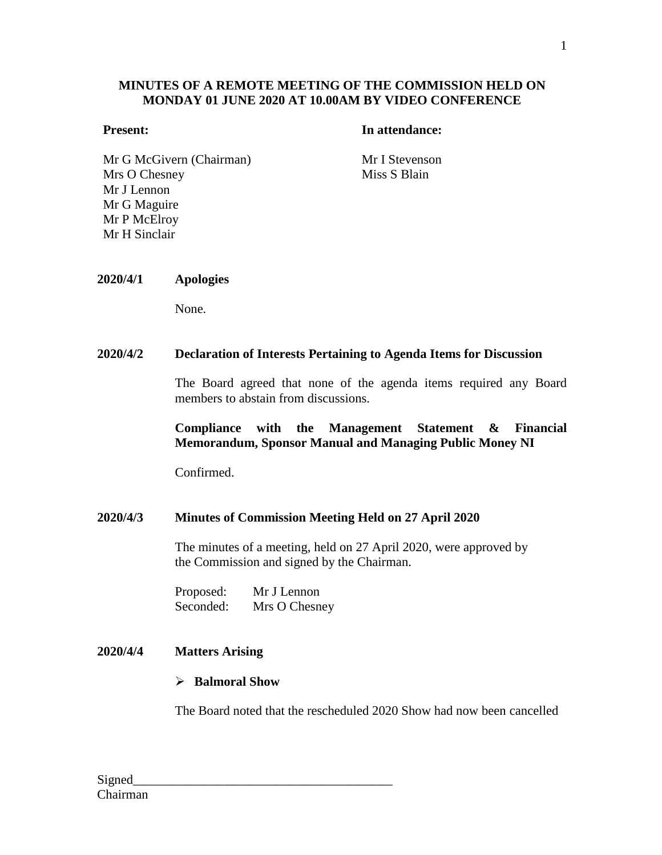# **MINUTES OF A REMOTE MEETING OF THE COMMISSION HELD ON MONDAY 01 JUNE 2020 AT 10.00AM BY VIDEO CONFERENCE**

## **Present: In attendance:**

Mr G McGivern (Chairman) Mr I Stevenson Mrs O Chesney Mr J Lennon Mr G Maguire Mr P McElroy Mr H Sinclair

Miss S Blain

### **2020/4/1 Apologies**

None.

### **2020/4/2 Declaration of Interests Pertaining to Agenda Items for Discussion**

The Board agreed that none of the agenda items required any Board members to abstain from discussions.

# **Compliance with the Management Statement & Financial Memorandum, Sponsor Manual and Managing Public Money NI**

Confirmed.

# **2020/4/3 Minutes of Commission Meeting Held on 27 April 2020**

The minutes of a meeting, held on 27 April 2020, were approved by the Commission and signed by the Chairman.

Proposed: Mr J Lennon Seconded: Mrs O Chesney

# **2020/4/4 Matters Arising**

#### **Balmoral Show**

The Board noted that the rescheduled 2020 Show had now been cancelled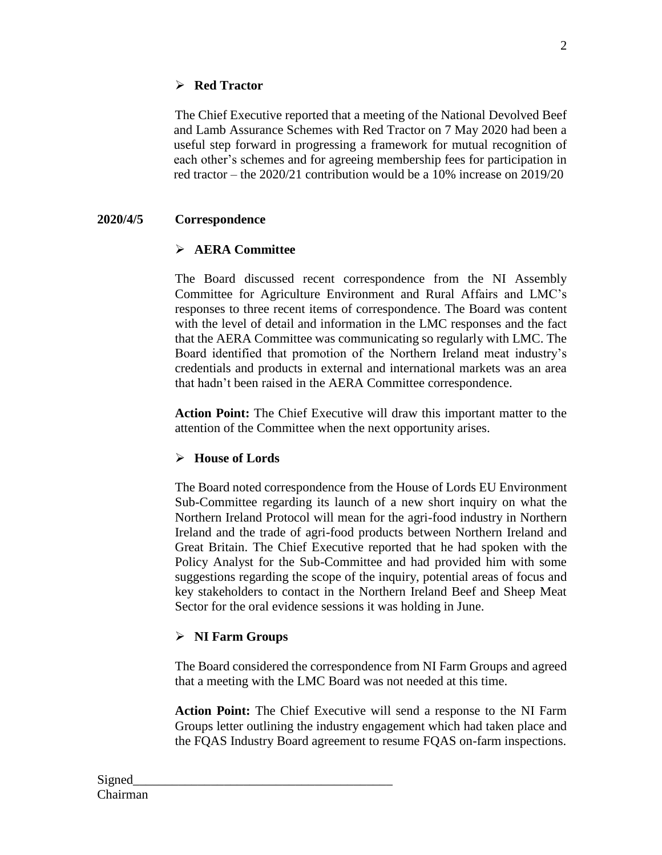# **Red Tractor**

The Chief Executive reported that a meeting of the National Devolved Beef and Lamb Assurance Schemes with Red Tractor on 7 May 2020 had been a useful step forward in progressing a framework for mutual recognition of each other's schemes and for agreeing membership fees for participation in red tractor – the 2020/21 contribution would be a 10% increase on 2019/20

# **2020/4/5 Correspondence**

# **AERA Committee**

The Board discussed recent correspondence from the NI Assembly Committee for Agriculture Environment and Rural Affairs and LMC's responses to three recent items of correspondence. The Board was content with the level of detail and information in the LMC responses and the fact that the AERA Committee was communicating so regularly with LMC. The Board identified that promotion of the Northern Ireland meat industry's credentials and products in external and international markets was an area that hadn't been raised in the AERA Committee correspondence.

**Action Point:** The Chief Executive will draw this important matter to the attention of the Committee when the next opportunity arises.

# **House of Lords**

The Board noted correspondence from the House of Lords EU Environment Sub-Committee regarding its launch of a new short inquiry on what the Northern Ireland Protocol will mean for the agri-food industry in Northern Ireland and the trade of agri-food products between Northern Ireland and Great Britain. The Chief Executive reported that he had spoken with the Policy Analyst for the Sub-Committee and had provided him with some suggestions regarding the scope of the inquiry, potential areas of focus and key stakeholders to contact in the Northern Ireland Beef and Sheep Meat Sector for the oral evidence sessions it was holding in June.

# **NI Farm Groups**

The Board considered the correspondence from NI Farm Groups and agreed that a meeting with the LMC Board was not needed at this time.

**Action Point:** The Chief Executive will send a response to the NI Farm Groups letter outlining the industry engagement which had taken place and the FQAS Industry Board agreement to resume FQAS on-farm inspections.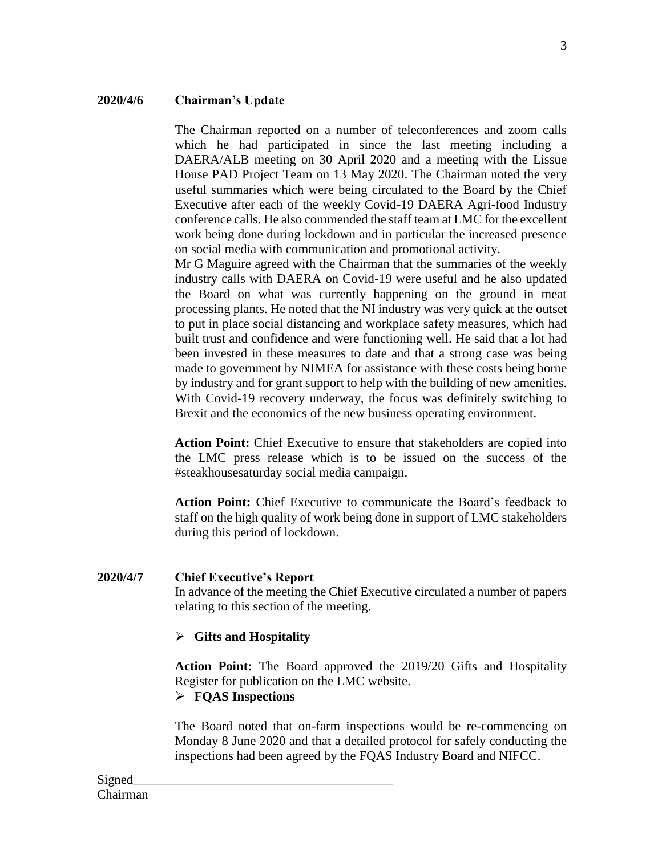## **2020/4/6 Chairman's Update**

The Chairman reported on a number of teleconferences and zoom calls which he had participated in since the last meeting including a DAERA/ALB meeting on 30 April 2020 and a meeting with the Lissue House PAD Project Team on 13 May 2020. The Chairman noted the very useful summaries which were being circulated to the Board by the Chief Executive after each of the weekly Covid-19 DAERA Agri-food Industry conference calls. He also commended the staff team at LMC for the excellent work being done during lockdown and in particular the increased presence on social media with communication and promotional activity.

Mr G Maguire agreed with the Chairman that the summaries of the weekly industry calls with DAERA on Covid-19 were useful and he also updated the Board on what was currently happening on the ground in meat processing plants. He noted that the NI industry was very quick at the outset to put in place social distancing and workplace safety measures, which had built trust and confidence and were functioning well. He said that a lot had been invested in these measures to date and that a strong case was being made to government by NIMEA for assistance with these costs being borne by industry and for grant support to help with the building of new amenities. With Covid-19 recovery underway, the focus was definitely switching to Brexit and the economics of the new business operating environment.

**Action Point:** Chief Executive to ensure that stakeholders are copied into the LMC press release which is to be issued on the success of the #steakhousesaturday social media campaign.

**Action Point:** Chief Executive to communicate the Board's feedback to staff on the high quality of work being done in support of LMC stakeholders during this period of lockdown.

#### **2020/4/7 Chief Executive's Report**

In advance of the meeting the Chief Executive circulated a number of papers relating to this section of the meeting.

#### **Gifts and Hospitality**

**Action Point:** The Board approved the 2019/20 Gifts and Hospitality Register for publication on the LMC website. **FQAS Inspections**

The Board noted that on-farm inspections would be re-commencing on Monday 8 June 2020 and that a detailed protocol for safely conducting the inspections had been agreed by the FQAS Industry Board and NIFCC.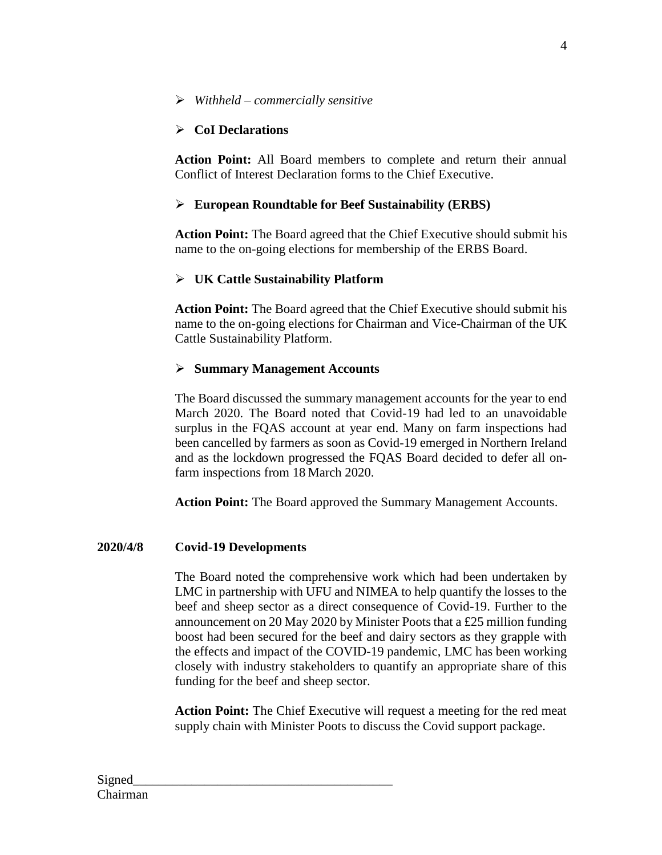# **CoI Declarations**

**Action Point:** All Board members to complete and return their annual Conflict of Interest Declaration forms to the Chief Executive.

# **European Roundtable for Beef Sustainability (ERBS)**

**Action Point:** The Board agreed that the Chief Executive should submit his name to the on-going elections for membership of the ERBS Board.

# **UK Cattle Sustainability Platform**

**Action Point:** The Board agreed that the Chief Executive should submit his name to the on-going elections for Chairman and Vice-Chairman of the UK Cattle Sustainability Platform.

# **Summary Management Accounts**

The Board discussed the summary management accounts for the year to end March 2020. The Board noted that Covid-19 had led to an unavoidable surplus in the FQAS account at year end. Many on farm inspections had been cancelled by farmers as soon as Covid-19 emerged in Northern Ireland and as the lockdown progressed the FQAS Board decided to defer all onfarm inspections from 18 March 2020.

**Action Point:** The Board approved the Summary Management Accounts.

# **2020/4/8 Covid-19 Developments**

The Board noted the comprehensive work which had been undertaken by LMC in partnership with UFU and NIMEA to help quantify the losses to the beef and sheep sector as a direct consequence of Covid-19. Further to the announcement on 20 May 2020 by Minister Poots that a £25 million funding boost had been secured for the beef and dairy sectors as they grapple with the effects and impact of the COVID-19 pandemic, LMC has been working closely with industry stakeholders to quantify an appropriate share of this funding for the beef and sheep sector.

**Action Point:** The Chief Executive will request a meeting for the red meat supply chain with Minister Poots to discuss the Covid support package.